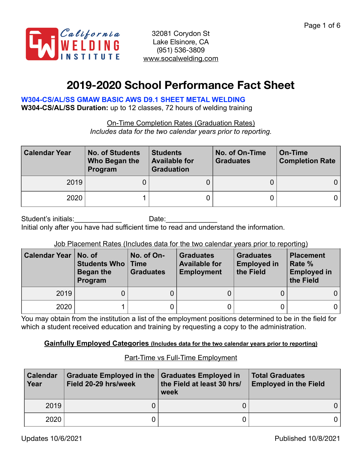

# **2019-2020 School Performance Fact Sheet**

# **W304-CS/AL/SS GMAW BASIC AWS D9.1 SHEET METAL WELDING**

**W304-CS/AL/SS Duration:** up to 12 classes, 72 hours of welding training

On-Time Completion Rates (Graduation Rates) *Includes data for the two calendar years prior to reporting.*

| <b>Calendar Year</b> | <b>No. of Students</b><br>Who Began the<br>Program | <b>Students</b><br><b>Available for</b><br><b>Graduation</b> | No. of On-Time<br><b>Graduates</b> | On-Time<br><b>Completion Rate</b> |  |
|----------------------|----------------------------------------------------|--------------------------------------------------------------|------------------------------------|-----------------------------------|--|
| 2019                 |                                                    |                                                              |                                    |                                   |  |
| 2020                 |                                                    |                                                              |                                    | 0 I                               |  |

Student's initials: example and Date: Initial only after you have had sufficient time to read and understand the information.

## Job Placement Rates (Includes data for the two calendar years prior to reporting)

| <b>Calendar Year</b> | No. of<br><b>Students Who   Time</b><br>Began the<br>Program | No. of On-<br><b>Graduates</b> | <b>Graduates</b><br><b>Available for</b><br><b>Employment</b> | <b>Graduates</b><br><b>Employed in</b><br>the Field | <b>Placement</b><br>Rate %<br><b>Employed in</b><br>the Field |
|----------------------|--------------------------------------------------------------|--------------------------------|---------------------------------------------------------------|-----------------------------------------------------|---------------------------------------------------------------|
| 2019                 | 0.                                                           |                                |                                                               |                                                     | $\overline{0}$                                                |
| 2020                 |                                                              |                                |                                                               |                                                     | $0^{\circ}$                                                   |

You may obtain from the institution a list of the employment positions determined to be in the field for which a student received education and training by requesting a copy to the administration.

## **Gainfully Employed Categories (Includes data for the two calendar years prior to reporting)**

## Part-Time vs Full-Time Employment

| <b>Calendar</b><br>Year | <b>Graduate Employed in the</b><br>Field 20-29 hrs/week | <b>Graduates Employed in</b><br>the Field at least 30 hrs/<br>week | <b>Total Graduates</b><br><b>Employed in the Field</b> |     |
|-------------------------|---------------------------------------------------------|--------------------------------------------------------------------|--------------------------------------------------------|-----|
| 2019                    |                                                         |                                                                    |                                                        | 0 I |
| 2020                    |                                                         |                                                                    |                                                        | 0 I |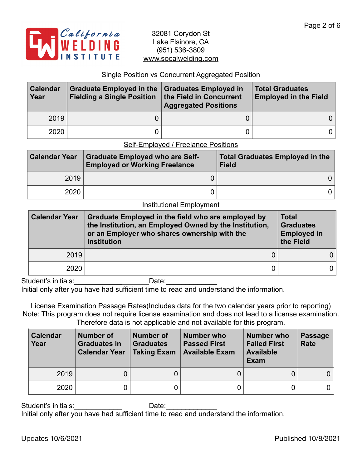

## Single Position vs Concurrent Aggregated Position

| <b>Calendar</b><br>Year | Graduate Employed in the Graduates Employed in<br>Fielding a Single Position   the Field in Concurrent | <b>Aggregated Positions</b> | <b>Total Graduates</b><br><b>Employed in the Field</b> |  |
|-------------------------|--------------------------------------------------------------------------------------------------------|-----------------------------|--------------------------------------------------------|--|
| 2019                    |                                                                                                        |                             | 0 I                                                    |  |
| 2020                    |                                                                                                        |                             | 0                                                      |  |

## Self-Employed / Freelance Positions

| <b>Calendar Year</b> | <b>Graduate Employed who are Self-</b><br><b>Employed or Working Freelance</b> | <b>Total Graduates Employed in the</b><br><b>Field</b> |
|----------------------|--------------------------------------------------------------------------------|--------------------------------------------------------|
| 2019                 |                                                                                |                                                        |
| 2020                 |                                                                                |                                                        |

#### Institutional Employment

| <b>Calendar Year</b><br>Graduate Employed in the field who are employed by<br>the Institution, an Employed Owned by the Institution,<br>or an Employer who shares ownership with the<br><b>Institution</b> |  | <b>Total</b><br><b>Graduates</b><br><b>Employed in</b><br>the Field |
|------------------------------------------------------------------------------------------------------------------------------------------------------------------------------------------------------------|--|---------------------------------------------------------------------|
| 2019                                                                                                                                                                                                       |  |                                                                     |
| 2020                                                                                                                                                                                                       |  |                                                                     |

Student's initials:\_\_\_\_\_\_\_\_\_\_\_\_ Date:\_\_\_\_\_\_\_\_\_\_\_\_\_ Initial only after you have had sufficient time to read and understand the information.

License Examination Passage Rates(Includes data for the two calendar years prior to reporting) Note: This program does not require license examination and does not lead to a license examination. Therefore data is not applicable and not available for this program.

| <b>Calendar</b><br>Year | Number of<br><b>Graduates in</b><br><b>Calendar Year</b> | Number of<br><b>Graduates</b><br><b>Taking Exam</b> | Number who<br><b>Passed First</b><br><b>Available Exam</b> | <b>Number who</b><br><b>Failed First</b><br><b>Available</b><br>Exam | <b>Passage</b><br><b>Rate</b> |
|-------------------------|----------------------------------------------------------|-----------------------------------------------------|------------------------------------------------------------|----------------------------------------------------------------------|-------------------------------|
| 2019                    |                                                          |                                                     |                                                            |                                                                      |                               |
| 2020                    |                                                          |                                                     |                                                            |                                                                      |                               |

Student's initials:\_\_\_\_\_\_\_\_\_\_\_\_ Date:\_\_\_\_\_\_\_\_\_\_\_\_\_

Initial only after you have had sufficient time to read and understand the information.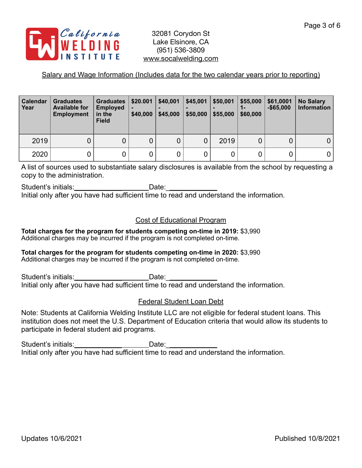

## Salary and Wage Information (Includes data for the two calendar years prior to reporting)

| Calendar<br>Year | <b>Graduates</b><br><b>Available for</b><br><b>Employment</b> | Graduates  <br><b>Employed</b><br>in the<br><b>Field</b> | \$20.001<br>\$40,000 | \$40,001<br>\$45,000 | \$45,001<br>\$50,000 | \$50,001<br>\$55,000 | \$55,000<br>\$60,000 | \$61,0001<br>$-$ \$65.000 | <b>No Salary</b><br><b>Information</b> |
|------------------|---------------------------------------------------------------|----------------------------------------------------------|----------------------|----------------------|----------------------|----------------------|----------------------|---------------------------|----------------------------------------|
| 2019             | 0                                                             | Ő                                                        | 0                    |                      | 0                    | 2019                 |                      |                           |                                        |
| 2020             | 0                                                             |                                                          |                      |                      | 0                    |                      |                      |                           | 0                                      |

A list of sources used to substantiate salary disclosures is available from the school by requesting a copy to the administration.

Student's initials:\_\_\_\_\_\_\_\_\_\_\_\_\_\_\_\_\_\_\_\_\_\_\_\_\_\_Date:\_\_\_\_\_\_\_\_\_\_\_\_\_\_\_\_\_\_\_\_\_\_\_\_\_\_\_\_\_\_ Initial only after you have had sufficient time to read and understand the information.

## Cost of Educational Program

**Total charges for the program for students competing on-time in 2019:** \$3,990 Additional charges may be incurred if the program is not completed on-time.

## **Total charges for the program for students competing on-time in 2020:** \$3,990

Additional charges may be incurred if the program is not completed on-time.

Student's initials: example of the Date: Initial only after you have had sufficient time to read and understand the information.

## Federal Student Loan Debt

Note: Students at California Welding Institute LLC are not eligible for federal student loans. This institution does not meet the U.S. Department of Education criteria that would allow its students to participate in federal student aid programs.

Student's initials:\_\_\_\_\_\_\_\_\_\_\_\_\_\_\_\_\_\_\_\_\_\_\_\_\_\_\_\_\_Date: \_\_\_ Initial only after you have had sufficient time to read and understand the information.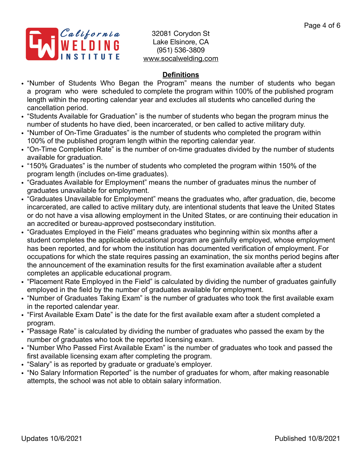

# **Definitions**

- "Number of Students Who Began the Program" means the number of students who began a program who were scheduled to complete the program within 100% of the published program length within the reporting calendar year and excludes all students who cancelled during the cancellation period.
- "Students Available for Graduation" is the number of students who began the program minus the number of students ho have died, been incarcerated, or ben called to active military duty.
- "Number of On-Time Graduates" is the number of students who completed the program within 100% of the published program length within the reporting calendar year.
- "On-Time Completion Rate" is the number of on-time graduates divided by the number of students available for graduation.
- "150% Graduates" is the number of students who completed the program within 150% of the program length (includes on-time graduates).
- "Graduates Available for Employment" means the number of graduates minus the number of graduates unavailable for employment.
- "Graduates Unavailable for Employment" means the graduates who, after graduation, die, become incarcerated, are called to active military duty, are intentional students that leave the United States or do not have a visa allowing employment in the United States, or are continuing their education in an accredited or bureau-approved postsecondary institution.
- "Graduates Employed in the Field" means graduates who beginning within six months after a student completes the applicable educational program are gainfully employed, whose employment has been reported, and for whom the institution has documented verification of employment. For occupations for which the state requires passing an examination, the six months period begins after the announcement of the examination results for the first examination available after a student completes an applicable educational program.
- "Placement Rate Employed in the Field" is calculated by dividing the number of graduates gainfully employed in the field by the number of graduates available for employment.
- "Number of Graduates Taking Exam" is the number of graduates who took the first available exam in the reported calendar year.
- "First Available Exam Date" is the date for the first available exam after a student completed a program.
- "Passage Rate" is calculated by dividing the number of graduates who passed the exam by the number of graduates who took the reported licensing exam.
- "Number Who Passed First Available Exam" is the number of graduates who took and passed the first available licensing exam after completing the program.
- "Salary" is as reported by graduate or graduate's employer.
- "No Salary Information Reported" is the number of graduates for whom, after making reasonable attempts, the school was not able to obtain salary information.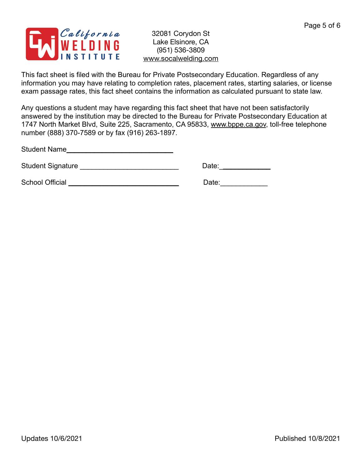

This fact sheet is filed with the Bureau for Private Postsecondary Education. Regardless of any information you may have relating to completion rates, placement rates, starting salaries, or license exam passage rates, this fact sheet contains the information as calculated pursuant to state law.

Any questions a student may have regarding this fact sheet that have not been satisfactorily answered by the institution may be directed to the Bureau for Private Postsecondary Education at 1747 North Market Blvd, Suite 225, Sacramento, CA 95833, [www.bppe.ca.gov](http://www.bppe.ca.gov), toll-free telephone number (888) 370-7589 or by fax (916) 263-1897.

Student Name\_\_\_\_\_\_\_\_\_\_\_\_\_\_\_\_\_\_\_\_\_\_\_\_\_\_\_

Student Signature \_\_\_\_\_\_\_\_\_\_\_\_\_\_\_\_\_\_\_\_\_\_\_\_\_ Date:\_\_\_\_\_\_\_\_\_\_\_\_\_

School Official \_\_\_\_\_\_\_\_\_\_\_\_\_\_\_\_\_\_\_\_\_\_\_\_\_\_\_\_ Date:\_\_\_\_\_\_\_\_\_\_\_\_